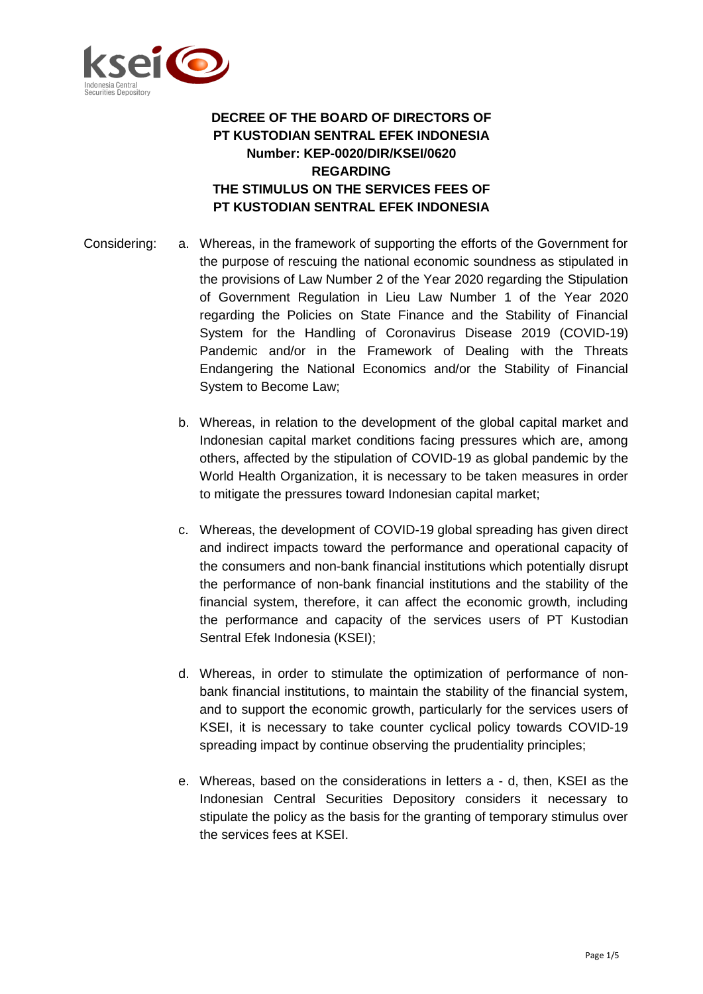

## **DECREE OF THE BOARD OF DIRECTORS OF PT KUSTODIAN SENTRAL EFEK INDONESIA Number: KEP-0020/DIR/KSEI/0620 REGARDING THE STIMULUS ON THE SERVICES FEES OF PT KUSTODIAN SENTRAL EFEK INDONESIA**

- Considering: a. Whereas, in the framework of supporting the efforts of the Government for the purpose of rescuing the national economic soundness as stipulated in the provisions of Law Number 2 of the Year 2020 regarding the Stipulation of Government Regulation in Lieu Law Number 1 of the Year 2020 regarding the Policies on State Finance and the Stability of Financial System for the Handling of Coronavirus Disease 2019 (COVID-19) Pandemic and/or in the Framework of Dealing with the Threats Endangering the National Economics and/or the Stability of Financial System to Become Law;
	- b. Whereas, in relation to the development of the global capital market and Indonesian capital market conditions facing pressures which are, among others, affected by the stipulation of COVID-19 as global pandemic by the World Health Organization, it is necessary to be taken measures in order to mitigate the pressures toward Indonesian capital market;
	- c. Whereas, the development of COVID-19 global spreading has given direct and indirect impacts toward the performance and operational capacity of the consumers and non-bank financial institutions which potentially disrupt the performance of non-bank financial institutions and the stability of the financial system, therefore, it can affect the economic growth, including the performance and capacity of the services users of PT Kustodian Sentral Efek Indonesia (KSEI);
	- d. Whereas, in order to stimulate the optimization of performance of nonbank financial institutions, to maintain the stability of the financial system, and to support the economic growth, particularly for the services users of KSEI, it is necessary to take counter cyclical policy towards COVID-19 spreading impact by continue observing the prudentiality principles;
	- e. Whereas, based on the considerations in letters a d, then, KSEI as the Indonesian Central Securities Depository considers it necessary to stipulate the policy as the basis for the granting of temporary stimulus over the services fees at KSEI.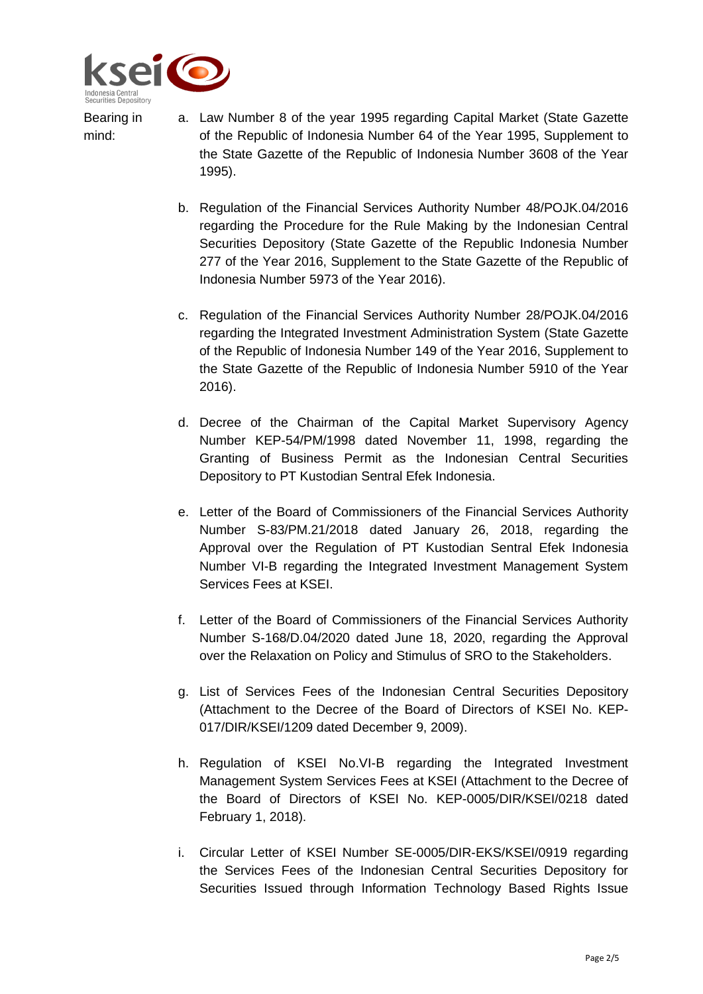

Bearing in

mind:

- a. Law Number 8 of the year 1995 regarding Capital Market (State Gazette of the Republic of Indonesia Number 64 of the Year 1995, Supplement to the State Gazette of the Republic of Indonesia Number 3608 of the Year 1995).
	- b. Regulation of the Financial Services Authority Number 48/POJK.04/2016 regarding the Procedure for the Rule Making by the Indonesian Central Securities Depository (State Gazette of the Republic Indonesia Number 277 of the Year 2016, Supplement to the State Gazette of the Republic of Indonesia Number 5973 of the Year 2016).
	- c. Regulation of the Financial Services Authority Number 28/POJK.04/2016 regarding the Integrated Investment Administration System (State Gazette of the Republic of Indonesia Number 149 of the Year 2016, Supplement to the State Gazette of the Republic of Indonesia Number 5910 of the Year 2016).
	- d. Decree of the Chairman of the Capital Market Supervisory Agency Number KEP-54/PM/1998 dated November 11, 1998, regarding the Granting of Business Permit as the Indonesian Central Securities Depository to PT Kustodian Sentral Efek Indonesia.
	- e. Letter of the Board of Commissioners of the Financial Services Authority Number S-83/PM.21/2018 dated January 26, 2018, regarding the Approval over the Regulation of PT Kustodian Sentral Efek Indonesia Number VI-B regarding the Integrated Investment Management System Services Fees at KSEI.
	- f. Letter of the Board of Commissioners of the Financial Services Authority Number S-168/D.04/2020 dated June 18, 2020, regarding the Approval over the Relaxation on Policy and Stimulus of SRO to the Stakeholders.
	- g. List of Services Fees of the Indonesian Central Securities Depository (Attachment to the Decree of the Board of Directors of KSEI No. KEP-017/DIR/KSEI/1209 dated December 9, 2009).
	- h. Regulation of KSEI No.VI-B regarding the Integrated Investment Management System Services Fees at KSEI (Attachment to the Decree of the Board of Directors of KSEI No. KEP-0005/DIR/KSEI/0218 dated February 1, 2018).
	- i. Circular Letter of KSEI Number SE-0005/DIR-EKS/KSEI/0919 regarding the Services Fees of the Indonesian Central Securities Depository for Securities Issued through Information Technology Based Rights Issue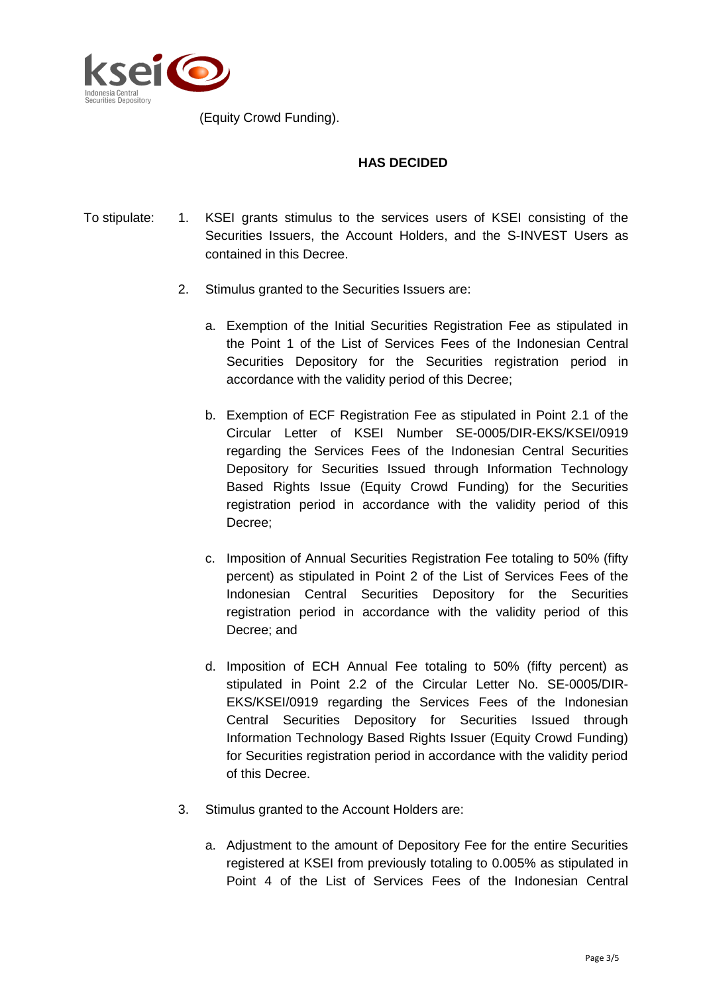

(Equity Crowd Funding).

## **HAS DECIDED**

- To stipulate: 1. KSEI grants stimulus to the services users of KSEI consisting of the Securities Issuers, the Account Holders, and the S-INVEST Users as contained in this Decree.
	- 2. Stimulus granted to the Securities Issuers are:
		- a. Exemption of the Initial Securities Registration Fee as stipulated in the Point 1 of the List of Services Fees of the Indonesian Central Securities Depository for the Securities registration period in accordance with the validity period of this Decree;
		- b. Exemption of ECF Registration Fee as stipulated in Point 2.1 of the Circular Letter of KSEI Number SE-0005/DIR-EKS/KSEI/0919 regarding the Services Fees of the Indonesian Central Securities Depository for Securities Issued through Information Technology Based Rights Issue (Equity Crowd Funding) for the Securities registration period in accordance with the validity period of this Decree;
		- c. Imposition of Annual Securities Registration Fee totaling to 50% (fifty percent) as stipulated in Point 2 of the List of Services Fees of the Indonesian Central Securities Depository for the Securities registration period in accordance with the validity period of this Decree; and
		- d. Imposition of ECH Annual Fee totaling to 50% (fifty percent) as stipulated in Point 2.2 of the Circular Letter No. SE-0005/DIR-EKS/KSEI/0919 regarding the Services Fees of the Indonesian Central Securities Depository for Securities Issued through Information Technology Based Rights Issuer (Equity Crowd Funding) for Securities registration period in accordance with the validity period of this Decree.
	- 3. Stimulus granted to the Account Holders are:
		- a. Adjustment to the amount of Depository Fee for the entire Securities registered at KSEI from previously totaling to 0.005% as stipulated in Point 4 of the List of Services Fees of the Indonesian Central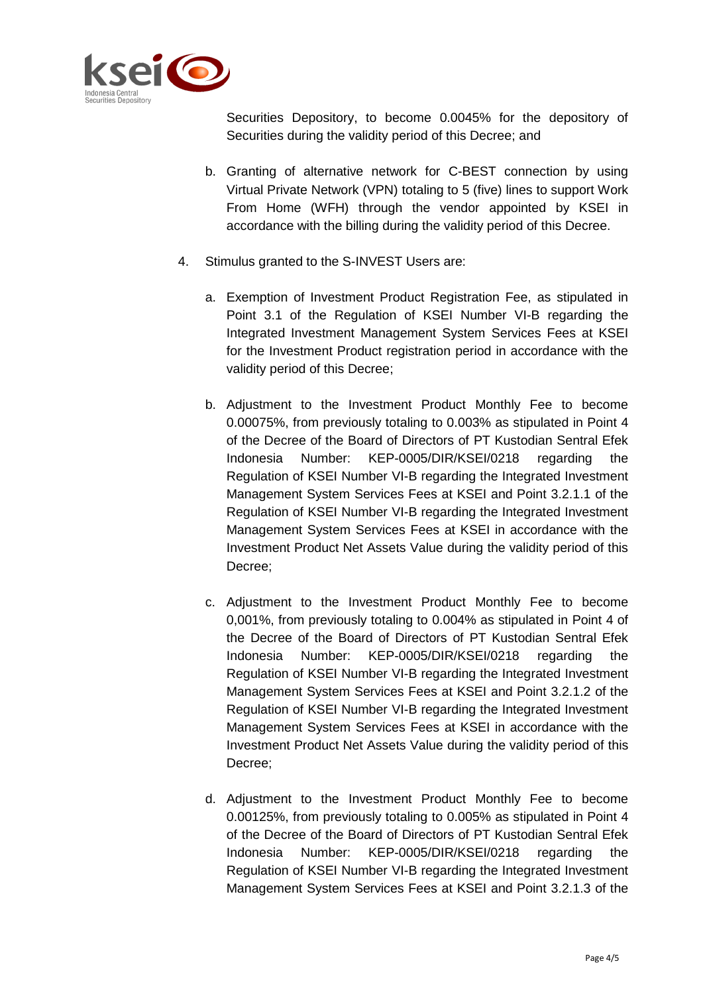

Securities Depository, to become 0.0045% for the depository of Securities during the validity period of this Decree; and

- b. Granting of alternative network for C-BEST connection by using Virtual Private Network (VPN) totaling to 5 (five) lines to support Work From Home (WFH) through the vendor appointed by KSEI in accordance with the billing during the validity period of this Decree.
- 4. Stimulus granted to the S-INVEST Users are:
	- a. Exemption of Investment Product Registration Fee, as stipulated in Point 3.1 of the Regulation of KSEI Number VI-B regarding the Integrated Investment Management System Services Fees at KSEI for the Investment Product registration period in accordance with the validity period of this Decree;
	- b. Adjustment to the Investment Product Monthly Fee to become 0.00075%, from previously totaling to 0.003% as stipulated in Point 4 of the Decree of the Board of Directors of PT Kustodian Sentral Efek Indonesia Number: KEP-0005/DIR/KSEI/0218 regarding the Regulation of KSEI Number VI-B regarding the Integrated Investment Management System Services Fees at KSEI and Point 3.2.1.1 of the Regulation of KSEI Number VI-B regarding the Integrated Investment Management System Services Fees at KSEI in accordance with the Investment Product Net Assets Value during the validity period of this Decree;
	- c. Adjustment to the Investment Product Monthly Fee to become 0,001%, from previously totaling to 0.004% as stipulated in Point 4 of the Decree of the Board of Directors of PT Kustodian Sentral Efek Indonesia Number: KEP-0005/DIR/KSEI/0218 regarding the Regulation of KSEI Number VI-B regarding the Integrated Investment Management System Services Fees at KSEI and Point 3.2.1.2 of the Regulation of KSEI Number VI-B regarding the Integrated Investment Management System Services Fees at KSEI in accordance with the Investment Product Net Assets Value during the validity period of this Decree;
	- d. Adjustment to the Investment Product Monthly Fee to become 0.00125%, from previously totaling to 0.005% as stipulated in Point 4 of the Decree of the Board of Directors of PT Kustodian Sentral Efek Indonesia Number: KEP-0005/DIR/KSEI/0218 regarding the Regulation of KSEI Number VI-B regarding the Integrated Investment Management System Services Fees at KSEI and Point 3.2.1.3 of the